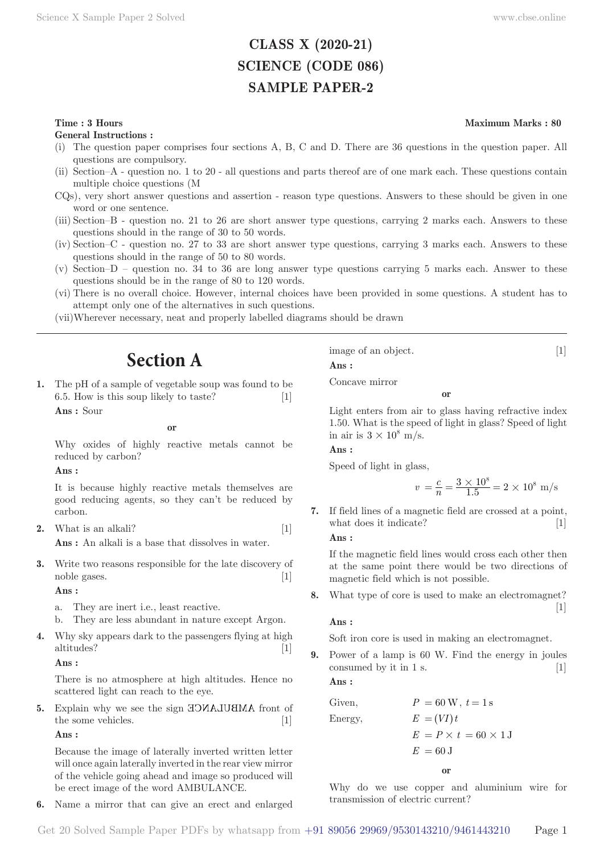# **CLASS X (2020-21) SCIENCE (CODE 086) SAMPLE PAPER-2**

# **Time : 3 Hours** Maximum Marks : 80

**General Instructions :**

- (i) The question paper comprises four sections A, B, C and D. There are 36 questions in the question paper. All questions are compulsory.
- (ii) Section–A question no. 1 to 20 all questions and parts thereof are of one mark each. These questions contain multiple choice questions (M
- CQs), very short answer questions and assertion reason type questions. Answers to these should be given in one word or one sentence.
- (iii) Section–B question no. 21 to 26 are short answer type questions, carrying 2 marks each. Answers to these questions should in the range of 30 to 50 words.
- (iv) Section–C question no. 27 to 33 are short answer type questions, carrying 3 marks each. Answers to these questions should in the range of 50 to 80 words.
- (v) Section–D question no. 34 to 36 are long answer type questions carrying 5 marks each. Answer to these questions should be in the range of 80 to 120 words.
- (vi) There is no overall choice. However, internal choices have been provided in some questions. A student has to attempt only one of the alternatives in such questions.
- (vii) Wherever necessary, neat and properly labelled diagrams should be drawn

# **Section A**

**1.** The pH of a sample of vegetable soup was found to be 6.5. How is this soup likely to taste? [1] **Ans :** Sour

**or**

Why oxides of highly reactive metals cannot be reduced by carbon?

**Ans :** 

It is because highly reactive metals themselves are good reducing agents, so they can't be reduced by carbon.

**2.** What is an alkali? [1]

**Ans :** An alkali is a base that dissolves in water.

**3.** Write two reasons responsible for the late discovery of noble gases. [1]

**Ans :** 

- a. They are inert i.e., least reactive.
- b. They are less abundant in nature except Argon.
- **4.** Why sky appears dark to the passengers flying at high altitudes? [1]

**Ans :** 

There is no atmosphere at high altitudes. Hence no scattered light can reach to the eye.

**5.** Explain why we see the sign HONAJUHNA front of the some vehicles. [1]

**Ans :** 

Because the image of laterally inverted written letter will once again laterally inverted in the rear view mirror of the vehicle going ahead and image so produced will be erect image of the word AMBULANCE.

**6.** Name a mirror that can give an erect and enlarged

image of an object. [1]

**Ans :** 

Concave mirror

**or**

Light enters from air to glass having refractive index 1.50. What is the speed of light in glass? Speed of light in air is  $3 \times 10^8$  m/s.

**Ans :** 

Speed of light in glass,

$$
v = \frac{c}{n} = \frac{3 \times 10^8}{1.5} = 2 \times 10^8
$$
 m/s

**7.** If field lines of a magnetic field are crossed at a point, what does it indicate? [1]

# **Ans :**

If the magnetic field lines would cross each other then at the same point there would be two directions of magnetic field which is not possible.

**8.** What type of core is used to make an electromagnet?  $\begin{bmatrix} 1 \end{bmatrix}$ 

**Ans :** 

Soft iron core is used in making an electromagnet.

**9.** Power of a lamp is 60 W. Find the energy in joules  $\alpha$  consumed by it in 1 s.  $\begin{bmatrix} 1 \end{bmatrix}$ 

**Ans :** 

Given,  
\n
$$
P = 60 \text{ W}, t = 1 \text{ s}
$$
  
\nEnergy,  
\n $E = (VI)t$   
\n $E = P \times t = 60 \times 1 \text{ J}$   
\n $E = 60 \text{ J}$ 

**or**

Why do we use copper and aluminium wire for transmission of electric current?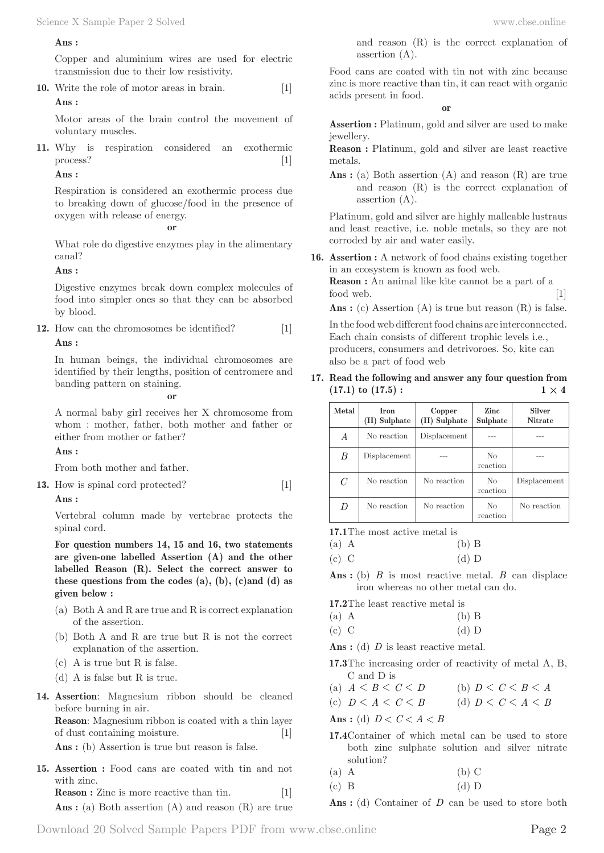### **Ans :**

Copper and aluminium wires are used for electric transmission due to their low resistivity.

**10.** Write the role of motor areas in brain. [1] **Ans :** 

Motor areas of the brain control the movement of voluntary muscles.

**11.** Why is respiration considered an exothermic process? [1]

### **Ans :**

Respiration is considered an exothermic process due to breaking down of glucose/food in the presence of oxygen with release of energy.

#### **or**

What role do digestive enzymes play in the alimentary canal?

### **Ans :**

Digestive enzymes break down complex molecules of food into simpler ones so that they can be absorbed by blood.

**12.** How can the chromosomes be identified? [1] **Ans :** 

In human beings, the individual chromosomes are identified by their lengths, position of centromere and banding pattern on staining.

**or**

A normal baby girl receives her X chromosome from whom : mother, father, both mother and father or either from mother or father?

## **Ans :**

From both mother and father.

**13.** How is spinal cord protected? [1]

### **Ans :**

Vertebral column made by vertebrae protects the spinal cord.

**For question numbers 14, 15 and 16, two statements are given-one labelled Assertion (A) and the other labelled Reason (R). Select the correct answer to these questions from the codes (a), (b), (c)and (d) as given below :**

- (a) Both A and R are true and R is correct explanation of the assertion.
- (b) Both A and R are true but R is not the correct explanation of the assertion.
- (c) A is true but R is false.
- (d) A is false but R is true.
- **14. Assertion**: Magnesium ribbon should be cleaned before burning in air. **Reason**: Magnesium ribbon is coated with a thin layer of dust containing moisture. [1]

Ans : (b) Assertion is true but reason is false.

**15. Assertion :** Food cans are coated with tin and not with zinc. **Reason :** Zinc is more reactive than tin. [1]

Ans : (a) Both assertion (A) and reason (R) are true

and reason (R) is the correct explanation of assertion (A).

Food cans are coated with tin not with zinc because zinc is more reactive than tin, it can react with organic acids present in food.

**or**

**Assertion :** Platinum, gold and silver are used to make jewellery.

**Reason :** Platinum, gold and silver are least reactive metals.

Ans : (a) Both assertion (A) and reason (R) are true and reason (R) is the correct explanation of assertion (A).

Platinum, gold and silver are highly malleable lustraus and least reactive, i.e. noble metals, so they are not corroded by air and water easily.

**16. Assertion :** A network of food chains existing together in an ecosystem is known as food web.

**Reason :** An animal like kite cannot be a part of a food web. [1]

Ans : (c) Assertion (A) is true but reason (R) is false.

In the food web different food chains are interconnected. Each chain consists of different trophic levels i.e., producers, consumers and detrivoroes. So, kite can also be a part of food web

**17. Read the following and answer any four question from**   $(17.1)$  to  $(17.5)$ :  $1 \times 4$ 

| Metal        | <b>Iron</b><br>(II) Sulphate | Copper<br>(II) Sulphate | Zinc<br>Sulphate           | Silver<br><b>Nitrate</b> |  |
|--------------|------------------------------|-------------------------|----------------------------|--------------------------|--|
| A            | No reaction                  | Displacement            |                            |                          |  |
| B            | Displacement                 |                         | No<br>reaction             |                          |  |
| $\mathcal C$ | No reaction                  | No reaction             | No<br>reaction             | Displacement             |  |
| D            | No reaction                  | No reaction             | N <sub>0</sub><br>reaction | No reaction              |  |

**17.1** The most active metal is

(a) A (b) B

(c) C (d) D

**Ans :** (b) *B* is most reactive metal. *B* can displace iron whereas no other metal can do.

**17.2** The least reactive metal is

| $(a)$ A | $(b)$ B |                          |
|---------|---------|--------------------------|
|         |         | $\overline{\phantom{a}}$ |

(c) C (d) D

Ans : (d) *D* is least reactive metal.

**17.3** The increasing order of reactivity of metal A, B, C and D is

(a) 
$$
A < B < C < D
$$
 \t(b)  $D < C < B < A$ 

(c)  $D < A < C < B$  (d)  $D < C < A < B$ 

Ans: (d)  $D < C < A < B$ 

- **17.4** Container of which metal can be used to store both zinc sulphate solution and silver nitrate solution?
- (a) A (b) C
- (c) B (d) D
- Ans : (d) Container of *D* can be used to store both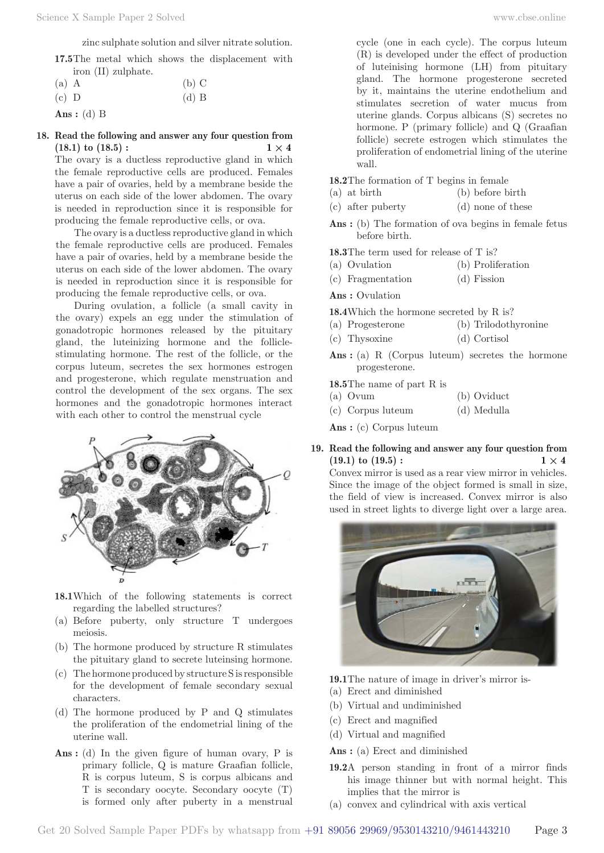zinc sulphate solution and silver nitrate solution.

**17.5** The metal which shows the displacement with iron (II) zulphate.

| $(a)$ A | $(b)$ C |
|---------|---------|
| $(c)$ D | $(d)$ B |
|         |         |

#### **Ans :** (d) B

### **18. Read the following and answer any four question from**   $(18.1)$  to  $(18.5)$ :  $1 \times 4$

The ovary is a ductless reproductive gland in which the female reproductive cells are produced. Females have a pair of ovaries, held by a membrane beside the uterus on each side of the lower abdomen. The ovary is needed in reproduction since it is responsible for producing the female reproductive cells, or ova.

The ovary is a ductless reproductive gland in which the female reproductive cells are produced. Females have a pair of ovaries, held by a membrane beside the uterus on each side of the lower abdomen. The ovary is needed in reproduction since it is responsible for producing the female reproductive cells, or ova.

During ovulation, a follicle (a small cavity in the ovary) expels an egg under the stimulation of gonadotropic hormones released by the pituitary gland, the luteinizing hormone and the folliclestimulating hormone. The rest of the follicle, or the corpus luteum, secretes the sex hormones estrogen and progesterone, which regulate menstruation and control the development of the sex organs. The sex hormones and the gonadotropic hormones interact with each other to control the menstrual cycle



- **18.1** Which of the following statements is correct regarding the labelled structures?
- (a) Before puberty, only structure T undergoes meiosis.
- (b) The hormone produced by structure R stimulates the pituitary gland to secrete luteinsing hormone.
- (c) The hormone produced by structure S is responsible for the development of female secondary sexual characters.
- (d) The hormone produced by P and Q stimulates the proliferation of the endometrial lining of the uterine wall.
- Ans : (d) In the given figure of human ovary, P is primary follicle, Q is mature Graafian follicle, R is corpus luteum, S is corpus albicans and T is secondary oocyte. Secondary oocyte (T) is formed only after puberty in a menstrual

cycle (one in each cycle). The corpus luteum (R) is developed under the effect of production of luteinising hormone (LH) from pituitary gland. The hormone progesterone secreted by it, maintains the uterine endothelium and stimulates secretion of water mucus from uterine glands. Corpus albicans (S) secretes no hormone. P (primary follicle) and Q (Graafian follicle) secrete estrogen which stimulates the proliferation of endometrial lining of the uterine wall.

**18.2** The formation of T begins in female

- (a) at birth (b) before birth
- (c) after puberty (d) none of these
- Ans : (b) The formation of ova begins in female fetus before birth.

**18.3** The term used for release of T is?

- (a) Ovulation (b) Proliferation
- (c) Fragmentation (d) Fission

**Ans :** Ovulation

**18.4** Which the hormone secreted by R is?

- (a) Progesterone (b) Trilodothyronine
- (c) Thysoxine (d) Cortisol
- Ans: (a) R (Corpus luteum) secretes the hormone progesterone.

**18.5** The name of part R is

- (a) Ovum (b) Oviduct
- (c) Corpus luteum (d) Medulla

**Ans :** (c) Corpus luteum

**19. Read the following and answer any four question from**   $(19.1)$  to  $(19.5)$ :  $1 \times 4$ 

Convex mirror is used as a rear view mirror in vehicles. Since the image of the object formed is small in size, the field of view is increased. Convex mirror is also used in street lights to diverge light over a large area.



**19.1** The nature of image in driver's mirror is-

- (a) Erect and diminished
- (b) Virtual and undiminished
- (c) Erect and magnified
- (d) Virtual and magnified

**Ans :** (a) Erect and diminished

- **19.2** A person standing in front of a mirror finds his image thinner but with normal height. This implies that the mirror is
- (a) convex and cylindrical with axis vertical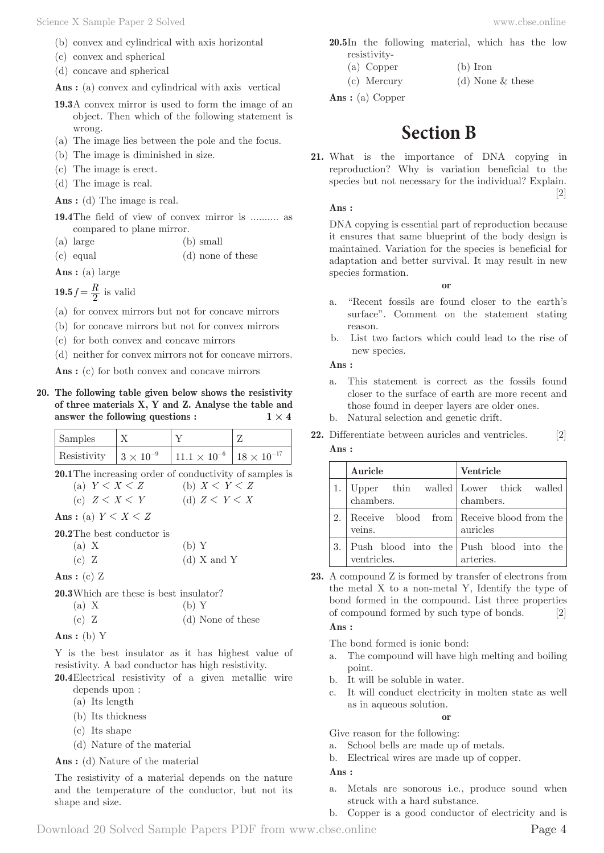- (b) convex and cylindrical with axis horizontal
- (c) convex and spherical
- (d) concave and spherical

Ans : (a) convex and cylindrical with axis vertical

- **19.3** A convex mirror is used to form the image of an object. Then which of the following statement is wrong.
- (a) The image lies between the pole and the focus.
- (b) The image is diminished in size.
- (c) The image is erect.
- (d) The image is real.

Ans : (d) The image is real.

**19.4** The field of view of convex mirror is .......... as compared to plane mirror.

(a) large (b) small

(c) equal (d) none of these

**Ans :** (a) large

**19.5**  $f = \frac{R}{2}$  is valid

(a) for convex mirrors but not for concave mirrors

(b) for concave mirrors but not for convex mirrors

(c) for both convex and concave mirrors

(d) neither for convex mirrors not for concave mirrors.

Ans : (c) for both convex and concave mirrors

**20. The following table given below shows the resistivity of three materials X, Y and Z. Analyse the table and answer the following questions :**  $1 \times 4$ 

| Samples                          |                                            |  |
|----------------------------------|--------------------------------------------|--|
| Resistivity $ 3 \times 10^{-9} $ | $11.1 \times 10^{-6}$ 18 $\times 10^{-17}$ |  |

**20.1** The increasing order of conductivity of samples is

| (a) $Y \leq X \leq Z$ | (b) $X \leq Y \leq Z$ |
|-----------------------|-----------------------|
| (c) $Z \leq X \leq Y$ | (d) $Z \leq Y \leq X$ |

Ans: (a)  $Y \leq X \leq Z$ 

|  | <b>20.2</b> The best conductor is |  |
|--|-----------------------------------|--|
|  |                                   |  |

| (a) X | (b) Y |               |  |
|-------|-------|---------------|--|
| (c) Z |       | $(d)$ X and Y |  |

**Ans :** (c) Z

**20.3** Which are these is best insulator?

| (a) X |  | (b)Y              |
|-------|--|-------------------|
| (c) Z |  | (d) None of these |

Ans: (b) 
$$
Y
$$

Y is the best insulator as it has highest value of resistivity. A bad conductor has high resistivity.

**20.4** Electrical resistivity of a given metallic wire depends upon :

- (a) Its length
- (b) Its thickness
- (c) Its shape
- (d) Nature of the material
- **Ans :** (d) Nature of the material

The resistivity of a material depends on the nature and the temperature of the conductor, but not its shape and size.

**20.5** In the following material, which has the low resistivity-

- (a) Copper (b) Iron
- (c) Mercury (d) None & these

**Ans :** (a) Copper

# **Section B**

**21.** What is the importance of DNA copying in reproduction? Why is variation beneficial to the species but not necessary for the individual? Explain.  $[2]$ 

#### **Ans :**

DNA copying is essential part of reproduction because it ensures that same blueprint of the body design is maintained. Variation for the species is beneficial for adaptation and better survival. It may result in new species formation.

**or**

- a. "Recent fossils are found closer to the earth's surface". Comment on the statement stating reason.
- b. List two factors which could lead to the rise of new species.

**Ans :** 

- a. This statement is correct as the fossils found closer to the surface of earth are more recent and those found in deeper layers are older ones.
- b. Natural selection and genetic drift.
- **Ans : Auricle Ventricle** 1. Upper thin walled chambers. Lower thick walled chambers. 2. Receive blood from veins. Receive blood from the auricles

Push blood into the

**22.** Differentiate between auricles and ventricles. [2]

ventricles. arteries. **23.** A compound Z is formed by transfer of electrons from the metal X to a non-metal Y, Identify the type of bond formed in the compound. List three properties of compound formed by such type of bonds. [2]

#### **Ans :**

The bond formed is ionic bond:

3. Push blood into the

- a. The compound will have high melting and boiling point.
- b. It will be soluble in water.
- c. It will conduct electricity in molten state as well as in aqueous solution.

**or**

Give reason for the following:

- a. School bells are made up of metals.
- b. Electrical wires are made up of copper.

**Ans :** 

- a. Metals are sonorous i.e., produce sound when struck with a hard substance.
- b. Copper is a good conductor of electricity and is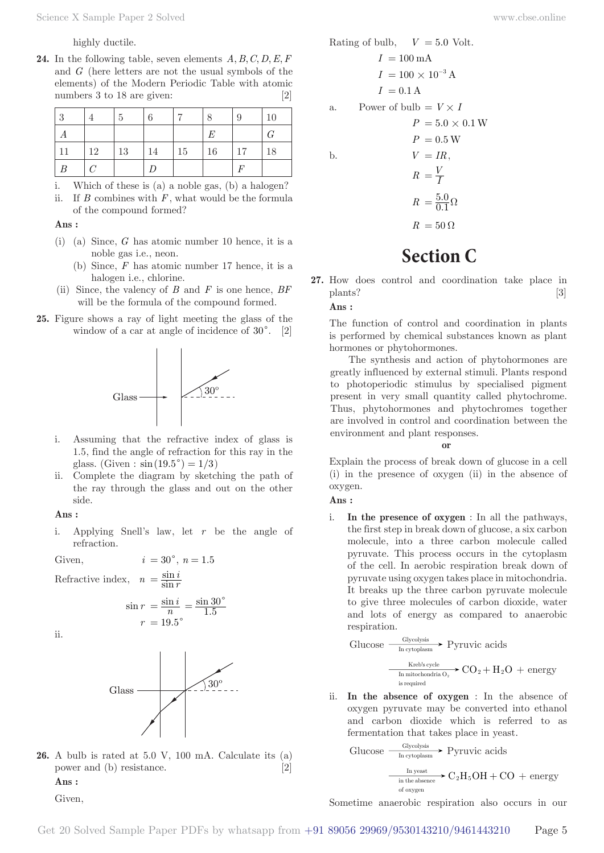highly ductile.

**24.** In the following table, seven elements  $A, B, C, D, E, F$ and *G* (here letters are not the usual symbols of the elements) of the Modern Periodic Table with atomic numbers 3 to 18 are given: [2]

| 3  |            | $\frac{5}{2}$ | 6  |    | . 8 | 9  | 10 |
|----|------------|---------------|----|----|-----|----|----|
|    |            |               |    |    | E   |    | G  |
| 11 | 12         | 13            | 14 | 15 | 16  | 17 | 18 |
| B  | $\epsilon$ |               |    |    |     |    |    |

- i. Which of these is (a) a noble gas, (b) a halogen?
- ii. If  $B$  combines with  $F$ , what would be the formula of the compound formed?

#### **Ans :**

- (i) (a) Since, *G* has atomic number 10 hence, it is a noble gas i.e., neon.
	- (b) Since, *F* has atomic number 17 hence, it is a halogen i.e., chlorine.
- (ii) Since, the valency of *B* and *F* is one hence, *BF* will be the formula of the compound formed.
- **25.** Figure shows a ray of light meeting the glass of the window of a car at angle of incidence of  $30^{\circ}$ . [2]



- i. Assuming that the refractive index of glass is 1.5, find the angle of refraction for this ray in the glass. (Given :  $\sin(19.5^{\circ}) = 1/3$ )
- ii. Complete the diagram by sketching the path of the ray through the glass and out on the other side.

**Ans :** 

i. Applying Snell's law, let *r* be the angle of refraction.

 $=\frac{\sin i}{n}=\frac{\sin i}{1}$ .

 $=\frac{\sin 30^{\circ}}{1.5}$ 

Given,  $i = 30^{\circ}, n = 1.5$ 

Refractive inde

$$
effective\ index,\ \ n = \frac{\sin i}{\sin r}
$$

 $\sin r = \frac{\sin r}{r}$ 

 $r = 19.5^{\circ}$ 

ii.



**26.** A bulb is rated at 5.0 V, 100 mA. Calculate its (a) power and (b) resistance. [2]

**Ans :** 

Given,

b, 
$$
V = 5.0
$$
 Volt.

*W* 

Rating of bulb, 
$$
V = 5.0
$$
 Volt.  
\n $I = 100$  mA  
\n $I = 100 \times 10^{-3}$  A  
\n $I = 0.1$  A  
\na. Power of bulb =  $V \times I$   
\n $P = 5.0 \times 0.1$   
\n $P = 0.5$  W  
\nb.  $V = IR$ ,  
\n $R = \frac{V}{I}$   
\n $R = \frac{5.0}{0.1} \Omega$   
\n $R = 50 \Omega$ 

# **Section C**

**27.** How does control and coordination take place in plants? [3]

#### **Ans :**

The function of control and coordination in plants is performed by chemical substances known as plant hormones or phytohormones.

The synthesis and action of phytohormones are greatly influenced by external stimuli. Plants respond to photoperiodic stimulus by specialised pigment present in very small quantity called phytochrome. Thus, phytohormones and phytochromes together are involved in control and coordination between the environment and plant responses.

**or**

Explain the process of break down of glucose in a cell (i) in the presence of oxygen (ii) in the absence of oxygen.

**Ans :** 

i. **In the presence of oxygen** : In all the pathways, the first step in break down of glucose, a six carbon molecule, into a three carbon molecule called pyruvate. This process occurs in the cytoplasm of the cell. In aerobic respiration break down of pyruvate using oxygen takes place in mitochondria. It breaks up the three carbon pyruvate molecule to give three molecules of carbon dioxide, water and lots of energy as compared to anaerobic respiration.

$$
\text{Glucose} \xrightarrow[\text{In cytoplasm}]{\text{Glycolysis}} \text{Pyruvic acids}
$$
\n
$$
\xrightarrow[\text{In mitochondrial } O_2]{\text{Kreb's cycle}} \text{CO}_2 + H_2O + \text{energy}
$$
\n
$$
\xrightarrow[\text{is required}]{\text{In mitochondrial } O_2} \text{CO}_2 + H_2O + \text{energy}
$$

ii. **In the absence of oxygen** : In the absence of oxygen pyruvate may be converted into ethanol and carbon dioxide which is referred to as fermentation that takes place in yeast.

Glucose 
$$
\xrightarrow[\text{In cytoplysis}]{\text{Glycolysis}}
$$
 Pyruvic acids

\n $\xrightarrow[\text{in the absence}]{\text{In yeast}} C_2H_5OH + CO + \text{energy}$ 

\n $\xrightarrow[\text{of oxygen}]{\text{of oxygen}}$ 

Sometime anaerobic respiration also occurs in our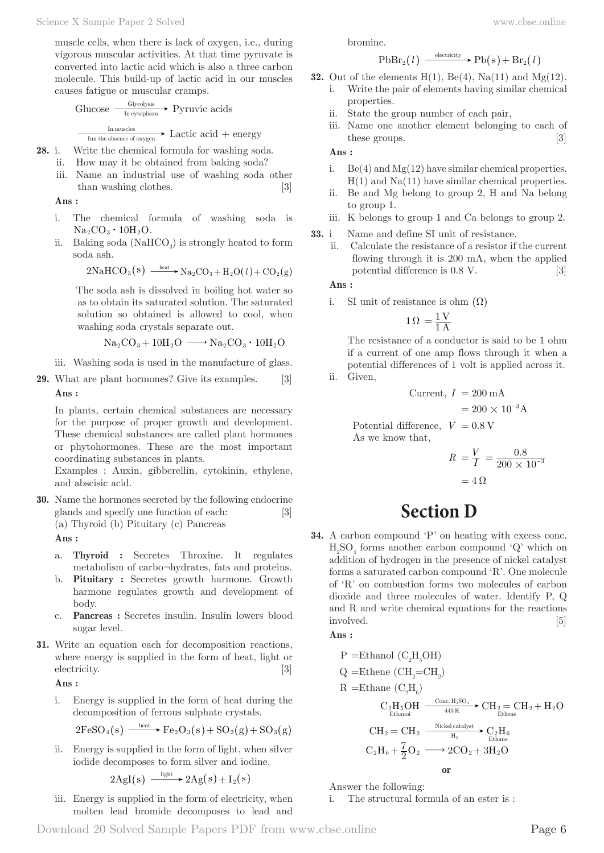muscle cells, when there is lack of oxygen, i.e., during vigorous muscular activities. At that time pyruvate is converted into lactic acid which is also a three carbon molecule. This build-up of lactic acid in our muscles causes fatigue or muscular cramps.

$$
\text{Glucose} \xrightarrow{\text{Glycolysis}} \text{Pyruvic acids}
$$
\n
$$
\xrightarrow{\text{In muscles}} \text{Lattice acid} + \text{energy}
$$

- **28.** i. Write the chemical formula for washing soda.
	- ii. How may it be obtained from baking soda?
	- iii. Name an industrial use of washing soda other than washing clothes. [3]

**Ans :** 

- i. The chemical formula of washing soda is  $Na_2CO_3 \cdot 10H_2O$ .
- ii. Baking soda  $(NaHCO<sub>3</sub>)$  is strongly heated to form soda ash.

$$
2\mathrm{NaHCO_3(s)} \xrightarrow{\_ \mathrm{heat} \_ } \mathrm{Na_2CO_3} + \mathrm{H_2O}(l) + \mathrm{CO_2(g)}
$$

 The soda ash is dissolved in boiling hot water so as to obtain its saturated solution. The saturated solution so obtained is allowed to cool, when washing soda crystals separate out.

$$
Na_2CO_3+10H_2O\ \longrightarrow Na_2CO_3\boldsymbol{\cdot} 10H_2O
$$

- iii. Washing soda is used in the manufacture of glass.
- **29.** What are plant hormones? Give its examples. [3] **Ans :**

In plants, certain chemical substances are necessary for the purpose of proper growth and development. These chemical substances are called plant hormones or phytohormones. These are the most important coordinating substances in plants.

Examples : Auxin, gibberellin, cytokinin, ethylene, and abscisic acid.

**30.** Name the hormones secreted by the following endocrine glands and specify one function of each: [3] (a) Thyroid (b) Pituitary (c) Pancreas

**Ans :** 

- a. **Thyroid :** Secretes Throxine. It regulates metabolism of carbo¬hydrates, fats and proteins.
- b. **Pituitary :** Secretes growth harmone. Growth harmone regulates growth and development of body.
- c. **Pancreas :** Secretes insulin. Insulin lowers blood sugar level.
- **31.** Write an equation each for decomposition reactions, where energy is supplied in the form of heat, light or electricity. [3]

**Ans :** 

i. Energy is supplied in the form of heat during the decomposition of ferrous sulphate crystals.

$$
2\mathrm{FeSO}_4(s) \xrightarrow{\_ \mathrm{heat}} \mathrm{Fe}_2\mathrm{O}_3(s) + \mathrm{SO}_2(g) + \mathrm{SO}_3(g)
$$

ii. Energy is supplied in the form of light, when silver iodide decomposes to form silver and iodine.

$$
2AgI(s) \xrightarrow{\text{light}} 2Ag(s) + I_2(s)
$$

iii. Energy is supplied in the form of electricity, when molten lead bromide decomposes to lead and bromine.

$$
\mathrm{PbBr}_2(l) \xrightarrow{\text{ electricity}} \mathrm{Pb}(s) + \mathrm{Br}_2(l)
$$

**32.** Out of the elements 
$$
H(1)
$$
,  $Be(4)$ ,  $Na(11)$  and  $Mg(12)$ .

- i. Write the pair of elements having similar chemical properties.
- ii. State the group number of each pair,
- iii. Name one another element belonging to each of these groups. [3]

**Ans :** 

- i.  $Be(4)$  and  $Mg(12)$  have similar chemical properties.  $H(1)$  and  $Na(11)$  have similar chemical properties.
- ii. Be and Mg belong to group 2, H and Na belong to group 1.
- iii. K belongs to group 1 and Ca belongs to group 2.
- **33.** i Name and define SI unit of resistance.
	- ii. Calculate the resistance of a resistor if the current flowing through it is 200 mA, when the applied potential difference is 0.8 V. [3]

**Ans :** 

i. SI unit of resistance is ohm  $( \Omega )$ 

$$
1\,\Omega\,=\frac{1\,\mathrm{V}}{1\,\mathrm{A}}
$$

The resistance of a conductor is said to be 1 ohm if a current of one amp flows through it when a potential differences of 1 volt is applied across it. ii. Given,

$$
Current, I = 200 \text{ mA}
$$

$$
= 200 \times 10^{-3} \text{A}
$$

Potential difference,  $V = 0.8$  V As we know that,

$$
R = \frac{V}{I} = \frac{0.8}{200 \times 10^{-3}}
$$

$$
= 4 \Omega
$$

# **Section D**

**34.** A carbon compound 'P' on heating with excess conc.  $\mathrm{H_2SO}_4$  forms another carbon compound 'Q' which on addition of hydrogen in the presence of nickel catalyst forms a saturated carbon compound 'R'. One molecule of 'R' on combustion forms two molecules of carbon dioxide and three molecules of water. Identify P, Q and R and write chemical equations for the reactions involved. [5]

**Ans :** 

P = Ethanol (C<sub>2</sub>H<sub>5</sub>OH)  
\nQ = Ethene (CH<sub>2</sub>=CH<sub>2</sub>)  
\nR = Ethane (C<sub>2</sub>H<sub>6</sub>)  
\nC<sub>2</sub>H<sub>5</sub>OH 
$$
\xrightarrow{\text{Conc. H}_2\text{SO}_4}
$$
 } CH<sub>2</sub> = CH<sub>2</sub> + H<sub>2</sub>O  
\nCH<sub>2</sub> = CH<sub>2</sub>  $\xrightarrow{\text{Nickel catalyst}}$  } C<sub>2</sub>H<sub>6</sub>  
\nC<sub>2</sub>H<sub>6</sub> +  $\frac{7}{2}$ O<sub>2</sub>  $\longrightarrow$  2CO<sub>2</sub> + 3H<sub>2</sub>O  
\nor

Answer the following:

i. The structural formula of an ester is :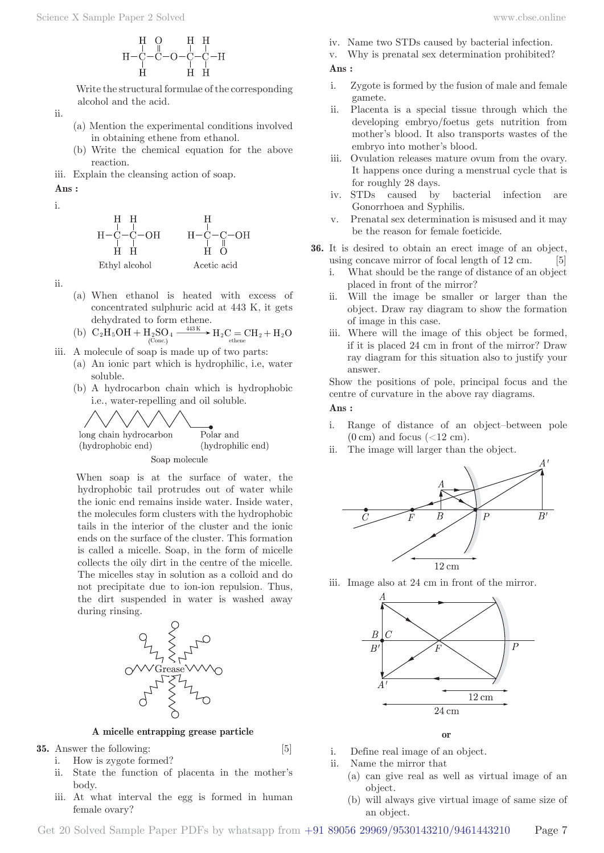$$
\begin{array}{c} \rm H\ \ \, O\ \ \, H\ \ \, \, H\ \ \, O\ \ \, \, H\ \ \, H\ \ \, \, H\ \ \, \, H\ \ \, \, H\ \ \, \, H\ \ \, H\ \ \, H\ \ \, H\ \ \, H\ \ \, H\ \ \, H\ \ \, H\ \ \, H\ \ \, H\ \ \, H\ \ \, H\ \ \, H\ \ \, H\ \ \, H\ \ \, H\ \ \, H\ \ \, H\ \ \, H\ \ \, H\ \ \, H\ \ \, H\ \ \, H\ \ \, H\ \ \, H\ \ \, H\ \ \, H\ \ \, H\ \ \, H\ \ \, H\ \ \, H\ \ \, H\ \ \, H\ \ \, H\ \ \, H\ \ \, H\ \ \, H\ \ \, H\ \ \, H\ \ \, H\ \ \, H\ \ \, H\ \ \, H\ \ \, H\ \ \, H\ \ \, H\ \ \, H\ \ \, H\ \ \, H\ \ \, H\ \ \, H\ \ \, H\ \ \, H\ \ \, H\ \ \, H\ \ \, H\ \ \, H\ \ \, H\ \ \, H\ \ \, H\ \ \, H\ \ \, H\ \ \, H\ \ \, H\ \ \, H\ \ \, H\ \ \, H\ \ \, H\ \ \, H\ \ \, H\ \ \, H\ \ \, H\ \ \, H\ \ \, H\ \ \, H\ \ \, H\ \ \, H\ \ \, H\ \ \, H\ \ \, H\ \ \, H\ \ \, H\ \ \, H\ \ \, H\ \ \, H\ \ \, H\ \ \, H\ \ \, H\ \ \, H\ \ \, H\ \ \, H\ \ \, H\ \ \, H\ \ \, H\ \ \, H\ \ \, H\ \
$$

 Write the structural formulae of the corresponding alcohol and the acid.

ii.

- (a) Mention the experimental conditions involved in obtaining ethene from ethanol.
- (b) Write the chemical equation for the above reaction.
- iii. Explain the cleansing action of soap.

**Ans :** 

$$
\rm i,
$$



ii.

- (a) When ethanol is heated with excess of concentrated sulphuric acid at 443 K, it gets dehydrated to form ethene.
- (b)  $C_2H_5OH + H_2SO_4 \xrightarrow{\text{443K}} H_2C = CH_2 + H_2O$  $\stackrel{443\mathrm{K}}{\longrightarrow}$   $\mathrm{H}_2\mathrm{C} = \mathrm{CH}_2 + \mathrm{H}_2$
- iii. A molecule of soap is made up of two parts:
	- (a) An ionic part which is hydrophilic, i.e, water soluble.
	- (b) A hydrocarbon chain which is hydrophobic i.e., water-repelling and oil soluble.



 When soap is at the surface of water, the hydrophobic tail protrudes out of water while the ionic end remains inside water. Inside water, the molecules form clusters with the hydrophobic tails in the interior of the cluster and the ionic ends on the surface of the cluster. This formation is called a micelle. Soap, in the form of micelle collects the oily dirt in the centre of the micelle. The micelles stay in solution as a colloid and do not precipitate due to ion-ion repulsion. Thus, the dirt suspended in water is washed away during rinsing.



**A micelle entrapping grease particle**

**35.** Answer the following: [5]

- i. How is zygote formed?
- ii. State the function of placenta in the mother's body.
- iii. At what interval the egg is formed in human female ovary?
- 
- iv. Name two STDs caused by bacterial infection.
- v. Why is prenatal sex determination prohibited?

**Ans :** 

- i. Zygote is formed by the fusion of male and female gamete.
- ii. Placenta is a special tissue through which the developing embryo/foetus gets nutrition from mother's blood. It also transports wastes of the embryo into mother's blood.
- iii. Ovulation releases mature ovum from the ovary. It happens once during a menstrual cycle that is for roughly 28 days.
- iv. STDs caused by bacterial infection are Gonorrhoea and Syphilis.
- v. Prenatal sex determination is misused and it may be the reason for female foeticide.
- **36.** It is desired to obtain an erect image of an object, using concave mirror of focal length of 12 cm. [5]
	- i. What should be the range of distance of an object placed in front of the mirror?
	- ii. Will the image be smaller or larger than the object. Draw ray diagram to show the formation of image in this case.
	- iii. Where will the image of this object be formed, if it is placed 24 cm in front of the mirror? Draw ray diagram for this situation also to justify your answer.

Show the positions of pole, principal focus and the centre of curvature in the above ray diagrams.

#### **Ans :**

- i. Range of distance of an object–between pole  $(0 \text{ cm})$  and focus  $(<12 \text{ cm})$ .
- ii. The image will larger than the object.



iii. Image also at 24 cm in front of the mirror.



**or**

- i. Define real image of an object.
- ii. Name the mirror that
	- (a) can give real as well as virtual image of an object.
	- (b) will always give virtual image of same size of an object.